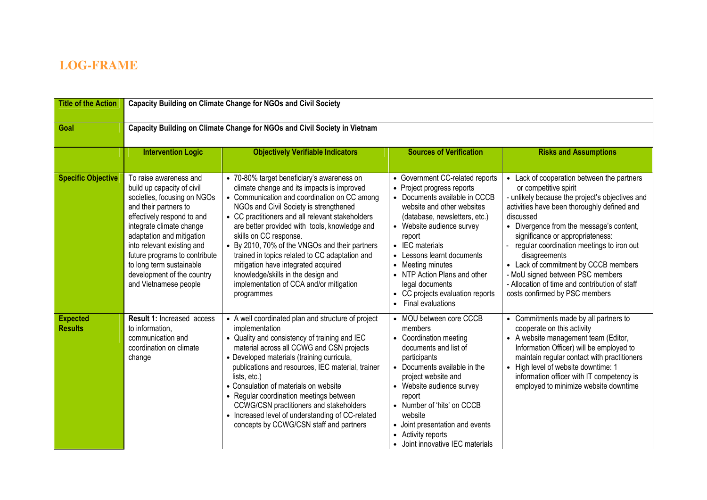## **LOG-FRAME**

| <b>Title of the Action</b>        | <b>Capacity Building on Climate Change for NGOs and Civil Society</b>                                                                                                                                                                                                                                                                                 |                                                                                                                                                                                                                                                                                                                                                                                                                                                                                                                                                             |                                                                                                                                                                                                                                                                                                                                                                                                            |                                                                                                                                                                                                                                                                                                                                                                                                                                                                                                  |  |
|-----------------------------------|-------------------------------------------------------------------------------------------------------------------------------------------------------------------------------------------------------------------------------------------------------------------------------------------------------------------------------------------------------|-------------------------------------------------------------------------------------------------------------------------------------------------------------------------------------------------------------------------------------------------------------------------------------------------------------------------------------------------------------------------------------------------------------------------------------------------------------------------------------------------------------------------------------------------------------|------------------------------------------------------------------------------------------------------------------------------------------------------------------------------------------------------------------------------------------------------------------------------------------------------------------------------------------------------------------------------------------------------------|--------------------------------------------------------------------------------------------------------------------------------------------------------------------------------------------------------------------------------------------------------------------------------------------------------------------------------------------------------------------------------------------------------------------------------------------------------------------------------------------------|--|
| Goal                              | Capacity Building on Climate Change for NGOs and Civil Society in Vietnam                                                                                                                                                                                                                                                                             |                                                                                                                                                                                                                                                                                                                                                                                                                                                                                                                                                             |                                                                                                                                                                                                                                                                                                                                                                                                            |                                                                                                                                                                                                                                                                                                                                                                                                                                                                                                  |  |
|                                   | <b>Intervention Logic</b>                                                                                                                                                                                                                                                                                                                             | <b>Objectively Verifiable Indicators</b>                                                                                                                                                                                                                                                                                                                                                                                                                                                                                                                    | <b>Sources of Verification</b>                                                                                                                                                                                                                                                                                                                                                                             | <b>Risks and Assumptions</b>                                                                                                                                                                                                                                                                                                                                                                                                                                                                     |  |
| <b>Specific Objective</b>         | To raise awareness and<br>build up capacity of civil<br>societies, focusing on NGOs<br>and their partners to<br>effectively respond to and<br>integrate climate change<br>adaptation and mitigation<br>into relevant existing and<br>future programs to contribute<br>to long term sustainable<br>development of the country<br>and Vietnamese people | • 70-80% target beneficiary's awareness on<br>climate change and its impacts is improved<br>• Communication and coordination on CC among<br>NGOs and Civil Society is strengthened<br>• CC practitioners and all relevant stakeholders<br>are better provided with tools, knowledge and<br>skills on CC response.<br>• By 2010, 70% of the VNGOs and their partners<br>trained in topics related to CC adaptation and<br>mitigation have integrated acquired<br>knowledge/skills in the design and<br>implementation of CCA and/or mitigation<br>programmes | • Government CC-related reports<br>• Project progress reports<br>• Documents available in CCCB<br>website and other websites<br>(database, newsletters, etc.)<br>• Website audience survey<br>report<br>• IEC materials<br>• Lessons learnt documents<br>• Meeting minutes<br>• NTP Action Plans and other<br>legal documents<br>• CC projects evaluation reports<br><b>Final evaluations</b><br>$\bullet$ | • Lack of cooperation between the partners<br>or competitive spirit<br>- unlikely because the project's objectives and<br>activities have been thoroughly defined and<br>discussed<br>• Divergence from the message's content,<br>significance or appropriateness:<br>regular coordination meetings to iron out<br>disagreements<br>• Lack of commitment by CCCB members<br>- MoU signed between PSC members<br>- Allocation of time and contribution of staff<br>costs confirmed by PSC members |  |
| <b>Expected</b><br><b>Results</b> | <b>Result 1: Increased access</b><br>to information,<br>communication and<br>coordination on climate<br>change                                                                                                                                                                                                                                        | • A well coordinated plan and structure of project<br>implementation<br>• Quality and consistency of training and IEC<br>material across all CCWG and CSN projects<br>• Developed materials (training curricula,<br>publications and resources, IEC material, trainer<br>lists, etc.)<br>• Consulation of materials on website<br>• Regular coordination meetings between<br>CCWG/CSN practitioners and stakeholders<br>• Increased level of understanding of CC-related<br>concepts by CCWG/CSN staff and partners                                         | • MOU between core CCCB<br>members<br>• Coordination meeting<br>documents and list of<br>participants<br>• Documents available in the<br>project website and<br>• Website audience survey<br>report<br>• Number of 'hits' on CCCB<br>website<br>• Joint presentation and events<br>• Activity reports<br>• Joint innovative IEC materials                                                                  | • Commitments made by all partners to<br>cooperate on this activity<br>• A website management team (Editor,<br>Information Officer) will be employed to<br>maintain regular contact with practitioners<br>• High level of website downtime: 1<br>information officer with IT competency is<br>employed to minimize website downtime                                                                                                                                                              |  |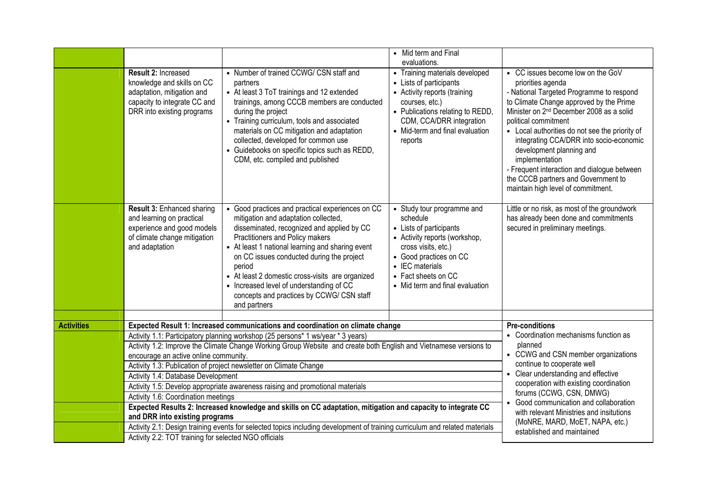| Result 2: Increased<br>• Number of trained CCWG/ CSN staff and<br>• Training materials developed<br>• CC issues become low on the GoV<br>knowledge and skills on CC<br>• Lists of participants<br>priorities agenda<br>partners<br>adaptation, mitigation and<br>• At least 3 ToT trainings and 12 extended<br>- National Targeted Programme to respond<br>• Activity reports (training<br>capacity to integrate CC and<br>to Climate Change approved by the Prime<br>trainings, among CCCB members are conducted<br>courses, etc.)<br>DRR into existing programs<br>• Publications relating to REDD,<br>Minister on 2 <sup>nd</sup> December 2008 as a solid<br>during the project<br>CDM, CCA/DRR integration<br>• Training curriculum, tools and associated<br>political commitment<br>materials on CC mitigation and adaptation<br>• Mid-term and final evaluation<br>• Local authorities do not see the priority of<br>collected, developed for common use<br>integrating CCA/DRR into socio-economic<br>reports<br>• Guidebooks on specific topics such as REDD,<br>development planning and<br>CDM, etc. compiled and published<br>implementation<br>- Frequent interaction and dialogue between<br>the CCCB partners and Government to<br>maintain high level of commitment.<br>Result 3: Enhanced sharing<br>• Good practices and practical experiences on CC<br>Little or no risk, as most of the groundwork<br>• Study tour programme and<br>and learning on practical<br>mitigation and adaptation collected,<br>schedule<br>has already been done and commitments<br>experience and good models<br>disseminated, recognized and applied by CC<br>• Lists of participants<br>secured in preliminary meetings.<br>Practitioners and Policy makers<br>of climate change mitigation<br>• Activity reports (workshop,<br>• At least 1 national learning and sharing event<br>cross visits, etc.)<br>and adaptation<br>on CC issues conducted during the project<br>• Good practices on CC<br>• IEC materials<br>period<br>• At least 2 domestic cross-visits are organized<br>• Fact sheets on CC<br>• Increased level of understanding of CC<br>• Mid term and final evaluation<br>concepts and practices by CCWG/ CSN staff<br>and partners<br><b>Activities</b><br>Expected Result 1: Increased communications and coordination on climate change<br><b>Pre-conditions</b><br>• Coordination mechanisms function as<br>Activity 1.1: Participatory planning workshop (25 persons* 1 ws/year * 3 years)<br>planned<br>Activity 1.2: Improve the Climate Change Working Group Website and create both English and Vietnamese versions to<br>• CCWG and CSN member organizations<br>encourage an active online community.<br>continue to cooperate well<br>Activity 1.3: Publication of project newsletter on Climate Change<br>• Clear understanding and effective<br>Activity 1.4: Database Development<br>cooperation with existing coordination<br>Activity 1.5: Develop appropriate awareness raising and promotional materials<br>forums (CCWG, CSN, DMWG)<br>Activity 1.6: Coordination meetings<br>• Good communication and collaboration<br>Expected Results 2: Increased knowledge and skills on CC adaptation, mitigation and capacity to integrate CC<br>with relevant Ministries and insitutions<br>and DRR into existing programs<br>(MoNRE, MARD, MoET, NAPA, etc.) |  |  | • Mid term and Final |  |
|--------------------------------------------------------------------------------------------------------------------------------------------------------------------------------------------------------------------------------------------------------------------------------------------------------------------------------------------------------------------------------------------------------------------------------------------------------------------------------------------------------------------------------------------------------------------------------------------------------------------------------------------------------------------------------------------------------------------------------------------------------------------------------------------------------------------------------------------------------------------------------------------------------------------------------------------------------------------------------------------------------------------------------------------------------------------------------------------------------------------------------------------------------------------------------------------------------------------------------------------------------------------------------------------------------------------------------------------------------------------------------------------------------------------------------------------------------------------------------------------------------------------------------------------------------------------------------------------------------------------------------------------------------------------------------------------------------------------------------------------------------------------------------------------------------------------------------------------------------------------------------------------------------------------------------------------------------------------------------------------------------------------------------------------------------------------------------------------------------------------------------------------------------------------------------------------------------------------------------------------------------------------------------------------------------------------------------------------------------------------------------------------------------------------------------------------------------------------------------------------------------------------------------------------------------------------------------------------------------------------------------------------------------------------------------------------------------------------------------------------------------------------------------------------------------------------------------------------------------------------------------------------------------------------------------------------------------------------------------------------------------------------------------------------------------------------------------------------------------------------------------------------------------------------------------------------------------------------------------------------------------------------------------------------------------------------------------------------------------------------------------------------|--|--|----------------------|--|
|                                                                                                                                                                                                                                                                                                                                                                                                                                                                                                                                                                                                                                                                                                                                                                                                                                                                                                                                                                                                                                                                                                                                                                                                                                                                                                                                                                                                                                                                                                                                                                                                                                                                                                                                                                                                                                                                                                                                                                                                                                                                                                                                                                                                                                                                                                                                                                                                                                                                                                                                                                                                                                                                                                                                                                                                                                                                                                                                                                                                                                                                                                                                                                                                                                                                                                                                                                                            |  |  | evaluations.         |  |
|                                                                                                                                                                                                                                                                                                                                                                                                                                                                                                                                                                                                                                                                                                                                                                                                                                                                                                                                                                                                                                                                                                                                                                                                                                                                                                                                                                                                                                                                                                                                                                                                                                                                                                                                                                                                                                                                                                                                                                                                                                                                                                                                                                                                                                                                                                                                                                                                                                                                                                                                                                                                                                                                                                                                                                                                                                                                                                                                                                                                                                                                                                                                                                                                                                                                                                                                                                                            |  |  |                      |  |
|                                                                                                                                                                                                                                                                                                                                                                                                                                                                                                                                                                                                                                                                                                                                                                                                                                                                                                                                                                                                                                                                                                                                                                                                                                                                                                                                                                                                                                                                                                                                                                                                                                                                                                                                                                                                                                                                                                                                                                                                                                                                                                                                                                                                                                                                                                                                                                                                                                                                                                                                                                                                                                                                                                                                                                                                                                                                                                                                                                                                                                                                                                                                                                                                                                                                                                                                                                                            |  |  |                      |  |
|                                                                                                                                                                                                                                                                                                                                                                                                                                                                                                                                                                                                                                                                                                                                                                                                                                                                                                                                                                                                                                                                                                                                                                                                                                                                                                                                                                                                                                                                                                                                                                                                                                                                                                                                                                                                                                                                                                                                                                                                                                                                                                                                                                                                                                                                                                                                                                                                                                                                                                                                                                                                                                                                                                                                                                                                                                                                                                                                                                                                                                                                                                                                                                                                                                                                                                                                                                                            |  |  |                      |  |
|                                                                                                                                                                                                                                                                                                                                                                                                                                                                                                                                                                                                                                                                                                                                                                                                                                                                                                                                                                                                                                                                                                                                                                                                                                                                                                                                                                                                                                                                                                                                                                                                                                                                                                                                                                                                                                                                                                                                                                                                                                                                                                                                                                                                                                                                                                                                                                                                                                                                                                                                                                                                                                                                                                                                                                                                                                                                                                                                                                                                                                                                                                                                                                                                                                                                                                                                                                                            |  |  |                      |  |
|                                                                                                                                                                                                                                                                                                                                                                                                                                                                                                                                                                                                                                                                                                                                                                                                                                                                                                                                                                                                                                                                                                                                                                                                                                                                                                                                                                                                                                                                                                                                                                                                                                                                                                                                                                                                                                                                                                                                                                                                                                                                                                                                                                                                                                                                                                                                                                                                                                                                                                                                                                                                                                                                                                                                                                                                                                                                                                                                                                                                                                                                                                                                                                                                                                                                                                                                                                                            |  |  |                      |  |
|                                                                                                                                                                                                                                                                                                                                                                                                                                                                                                                                                                                                                                                                                                                                                                                                                                                                                                                                                                                                                                                                                                                                                                                                                                                                                                                                                                                                                                                                                                                                                                                                                                                                                                                                                                                                                                                                                                                                                                                                                                                                                                                                                                                                                                                                                                                                                                                                                                                                                                                                                                                                                                                                                                                                                                                                                                                                                                                                                                                                                                                                                                                                                                                                                                                                                                                                                                                            |  |  |                      |  |
| Activity 2.1: Design training events for selected topics including development of training curriculum and related materials<br>established and maintained<br>Activity 2.2: TOT training for selected NGO officials                                                                                                                                                                                                                                                                                                                                                                                                                                                                                                                                                                                                                                                                                                                                                                                                                                                                                                                                                                                                                                                                                                                                                                                                                                                                                                                                                                                                                                                                                                                                                                                                                                                                                                                                                                                                                                                                                                                                                                                                                                                                                                                                                                                                                                                                                                                                                                                                                                                                                                                                                                                                                                                                                                                                                                                                                                                                                                                                                                                                                                                                                                                                                                         |  |  |                      |  |